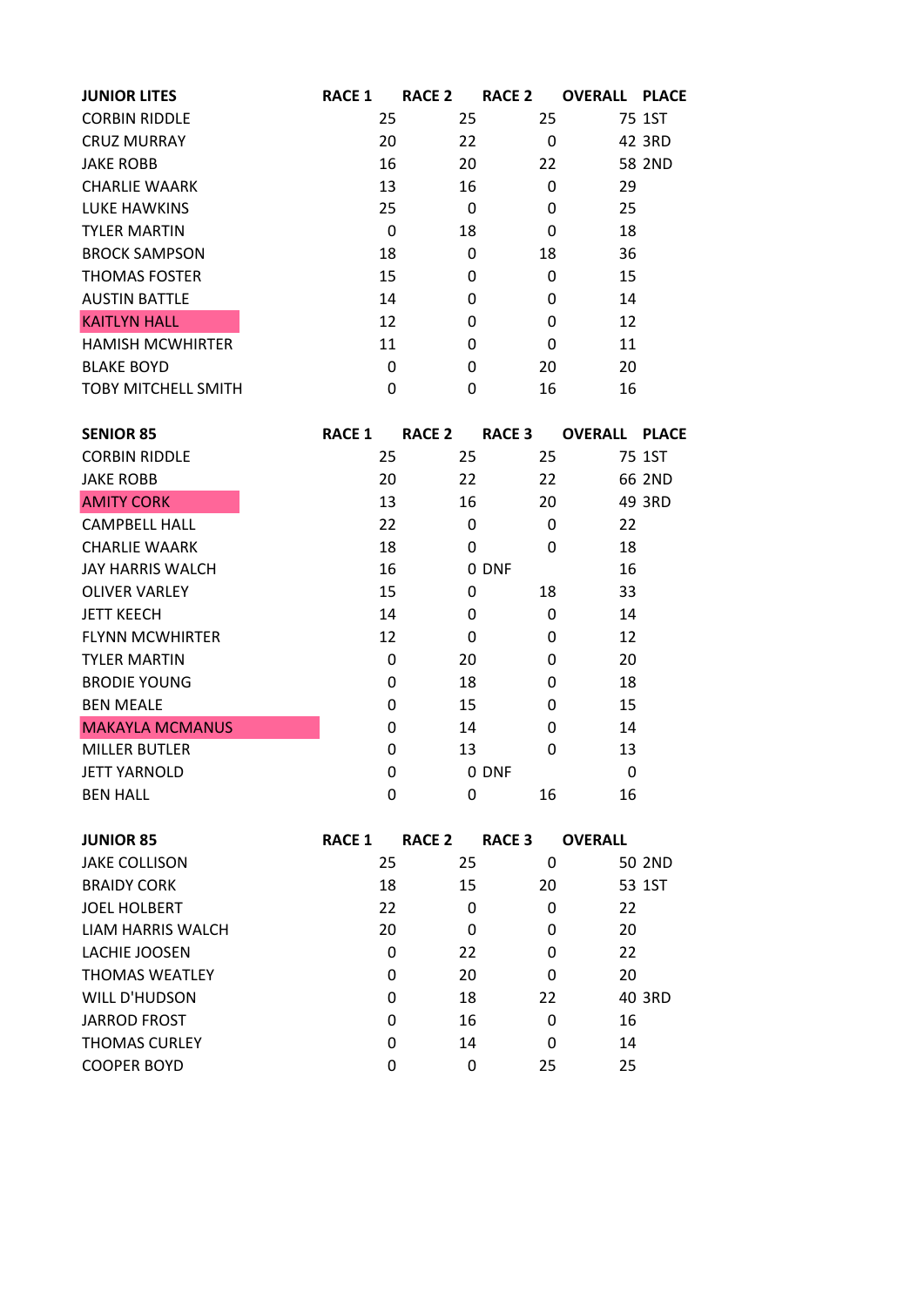| <b>JUNIOR LITES</b>        | <b>RACE 1</b> | RACE <sub>2</sub> | <b>RACE 2</b> | <b>OVERALL PLACE</b> |        |
|----------------------------|---------------|-------------------|---------------|----------------------|--------|
| <b>CORBIN RIDDLE</b>       | 25            | 25                | 25            |                      | 75 1ST |
| <b>CRUZ MURRAY</b>         | 20            | 22                | 0             |                      | 42 3RD |
| <b>JAKE ROBB</b>           | 16            | 20                | 22            |                      | 58 2ND |
| <b>CHARLIE WAARK</b>       | 13            | 16                | 0             | 29                   |        |
| LUKE HAWKINS               | 25            | 0                 | 0             | 25                   |        |
| <b>TYLER MARTIN</b>        | 0             | 18                | 0             | 18                   |        |
| <b>BROCK SAMPSON</b>       | 18            | 0                 | 18            | 36                   |        |
| <b>THOMAS FOSTER</b>       | 15            | 0                 | 0             | 15                   |        |
| <b>AUSTIN BATTLE</b>       | 14            | 0                 | 0             | 14                   |        |
| <b>KAITLYN HALL</b>        | 12            | 0                 | 0             | 12                   |        |
| <b>HAMISH MCWHIRTER</b>    | 11            | 0                 | 0             | 11                   |        |
| <b>BLAKE BOYD</b>          | 0             | 0                 | 20            | 20                   |        |
| <b>TOBY MITCHELL SMITH</b> | 0             | 0                 | 16            | 16                   |        |

| <b>SENIOR 85</b>        | <b>RACE 1</b> | RACE <sub>2</sub> | <b>RACE 3</b> | <b>OVERALL</b> | <b>PLACE</b> |
|-------------------------|---------------|-------------------|---------------|----------------|--------------|
| <b>CORBIN RIDDLE</b>    | 25            | 25                | 25            |                | 75 1ST       |
| <b>JAKE ROBB</b>        | 20            | 22                | 22            |                | 66 2ND       |
| <b>AMITY CORK</b>       | 13            | 16                | 20            |                | 49 3RD       |
| <b>CAMPBELL HALL</b>    | 22            | 0                 | 0             | 22             |              |
| <b>CHARLIE WAARK</b>    | 18            | 0                 | $\mathbf 0$   | 18             |              |
| <b>JAY HARRIS WALCH</b> | 16            |                   | 0 DNF         | 16             |              |
| <b>OLIVER VARLEY</b>    | 15            | 0                 | 18            | 33             |              |
| <b>JETT KEECH</b>       | 14            | 0                 | $\Omega$      | 14             |              |
| <b>FLYNN MCWHIRTER</b>  | 12            | 0                 | $\Omega$      | 12             |              |
| <b>TYLER MARTIN</b>     | 0             | 20                | $\Omega$      | 20             |              |
| <b>BRODIE YOUNG</b>     | 0             | 18                | $\Omega$      | 18             |              |
| <b>BEN MEALE</b>        | 0             | 15                | 0             | 15             |              |
| <b>MAKAYLA MCMANUS</b>  | 0             | 14                | $\Omega$      | 14             |              |
| <b>MILLER BUTLER</b>    | 0             | 13                | 0             | 13             |              |
| <b>JETT YARNOLD</b>     | 0             |                   | 0 DNF         | 0              |              |
| <b>BEN HALL</b>         | 0             | 0                 | 16            | 16             |              |

| <b>RACE 1</b> | <b>RACE 2</b> | <b>RACE 3</b> | <b>OVERALL</b> |
|---------------|---------------|---------------|----------------|
| 25            | 25            | 0             | 50 2ND         |
|               |               | 20            | 53 1ST         |
|               | 0             | 0             | 22             |
|               | 0             | 0             | 20             |
| 0             | 22            | 0             | 22             |
| 0             |               | 0             | 20             |
| 0             | 18            | 22            | 40 3RD         |
| 0             |               | $\Omega$      | 16             |
| 0             | 14            | $\Omega$      | 14             |
| 0             | 0             | 25            | 25             |
|               | 18<br>22      | 20            | 15<br>20<br>16 |